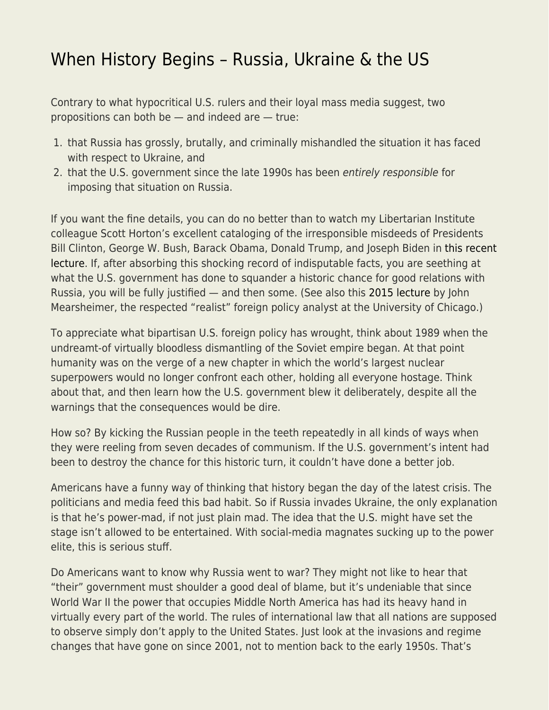## [When History Begins – Russia, Ukraine & the US](https://everything-voluntary.com/when-history-begins-russia-ukraine-the-us)

Contrary to what hypocritical U.S. rulers and their loyal mass media suggest, two propositions can both be — and indeed are — true:

- 1. that Russia has grossly, brutally, and criminally mishandled the situation it has faced with respect to Ukraine, and
- 2. that the U.S. government since the late 1990s has been entirely responsible for imposing that situation on Russia.

If you want the fine details, you can do no better than to watch my Libertarian Institute colleague Scott Horton's excellent cataloging of the irresponsible misdeeds of Presidents Bill Clinton, George W. Bush, Barack Obama, Donald Trump, and Joseph Biden in [this recent](https://youtu.be/NbiuAfcpzQU) [lecture](https://youtu.be/NbiuAfcpzQU). If, after absorbing this shocking record of indisputable facts, you are seething at what the U.S. government has done to squander a historic chance for good relations with Russia, you will be fully justified — and then some. (See also this [2015 lecture](https://youtu.be/JrMiSQAGOS4) by John Mearsheimer, the respected "realist" foreign policy analyst at the University of Chicago.)

To appreciate what bipartisan U.S. foreign policy has wrought, think about 1989 when the undreamt-of virtually bloodless dismantling of the Soviet empire began. At that point humanity was on the verge of a new chapter in which the world's largest nuclear superpowers would no longer confront each other, holding all everyone hostage. Think about that, and then learn how the U.S. government blew it deliberately, despite all the warnings that the consequences would be dire.

How so? By kicking the Russian people in the teeth repeatedly in all kinds of ways when they were reeling from seven decades of communism. If the U.S. government's intent had been to destroy the chance for this historic turn, it couldn't have done a better job.

Americans have a funny way of thinking that history began the day of the latest crisis. The politicians and media feed this bad habit. So if Russia invades Ukraine, the only explanation is that he's power-mad, if not just plain mad. The idea that the U.S. might have set the stage isn't allowed to be entertained. With social-media magnates sucking up to the power elite, this is serious stuff.

Do Americans want to know why Russia went to war? They might not like to hear that "their" government must shoulder a good deal of blame, but it's undeniable that since World War II the power that occupies Middle North America has had its heavy hand in virtually every part of the world. The rules of international law that all nations are supposed to observe simply don't apply to the United States. Just look at the invasions and regime changes that have gone on since 2001, not to mention back to the early 1950s. That's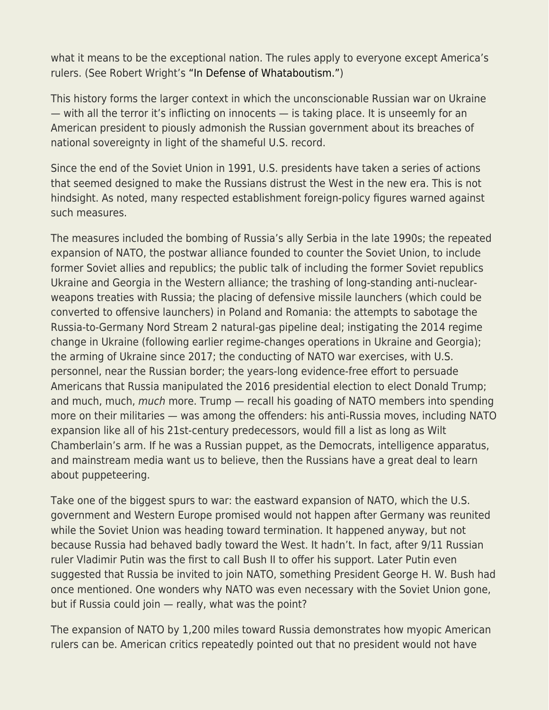what it means to be the exceptional nation. The rules apply to everyone except America's rulers. (See Robert Wright's ["In Defense of Whataboutism."](https://nonzero.substack.com/p/in-defense-of-whataboutism?token=eyJ1c2VyX2lkIjozODgwMDUxNiwiXyI6InN2Y0YzIiwiaWF0IjoxNjQ2MzI1MDY4LCJleHAiOjE2NDYzMjg2NjgsImlzcyI6InB1Yi0xNzMwMiIsInN1YiI6InBvc3QtcmVhY3Rpb24ifQ.5nqlTB3EEzjVxHpP5GsqX2fOFS5PhrUkC9nYBV9Xekk&s=r))

This history forms the larger context in which the unconscionable Russian war on Ukraine — with all the terror it's inflicting on innocents — is taking place. It is unseemly for an American president to piously admonish the Russian government about its breaches of national sovereignty in light of the shameful U.S. record.

Since the end of the Soviet Union in 1991, U.S. presidents have taken a series of actions that seemed designed to make the Russians distrust the West in the new era. This is not hindsight. As noted, many respected establishment foreign-policy figures warned against such measures.

The measures included the bombing of Russia's ally Serbia in the late 1990s; the repeated expansion of NATO, the postwar alliance founded to counter the Soviet Union, to include former Soviet allies and republics; the public talk of including the former Soviet republics Ukraine and Georgia in the Western alliance; the trashing of long-standing anti-nuclearweapons treaties with Russia; the placing of defensive missile launchers (which could be converted to offensive launchers) in Poland and Romania: the attempts to sabotage the Russia-to-Germany Nord Stream 2 natural-gas pipeline deal; instigating the 2014 regime change in Ukraine (following earlier regime-changes operations in Ukraine and Georgia); the arming of Ukraine since 2017; the conducting of NATO war exercises, with U.S. personnel, near the Russian border; the years-long evidence-free effort to persuade Americans that Russia manipulated the 2016 presidential election to elect Donald Trump; and much, much, much more. Trump — recall his goading of NATO members into spending more on their militaries — was among the offenders: his anti-Russia moves, including NATO expansion like all of his 21st-century predecessors, would fill a list as long as Wilt Chamberlain's arm. If he was a Russian puppet, as the Democrats, intelligence apparatus, and mainstream media want us to believe, then the Russians have a great deal to learn about puppeteering.

Take one of the biggest spurs to war: the eastward expansion of NATO, which the U.S. government and Western Europe promised would not happen after Germany was reunited while the Soviet Union was heading toward termination. It happened anyway, but not because Russia had behaved badly toward the West. It hadn't. In fact, after 9/11 Russian ruler Vladimir Putin was the first to call Bush II to offer his support. Later Putin even suggested that Russia be invited to join NATO, something President George H. W. Bush had once mentioned. One wonders why NATO was even necessary with the Soviet Union gone, but if Russia could join — really, what was the point?

The expansion of NATO by 1,200 miles toward Russia demonstrates how myopic American rulers can be. American critics repeatedly pointed out that no president would not have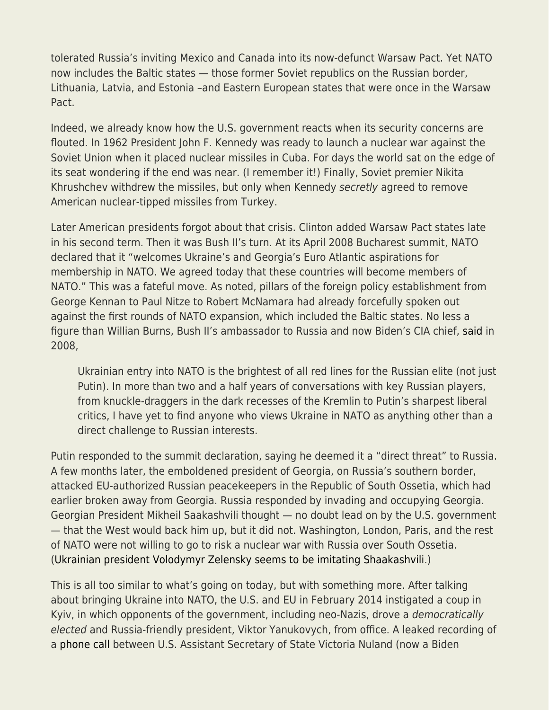tolerated Russia's inviting Mexico and Canada into its now-defunct Warsaw Pact. Yet NATO now includes the Baltic states — those former Soviet republics on the Russian border, Lithuania, Latvia, and Estonia –and Eastern European states that were once in the Warsaw Pact.

Indeed, we already know how the U.S. government reacts when its security concerns are flouted. In 1962 President John F. Kennedy was ready to launch a nuclear war against the Soviet Union when it placed nuclear missiles in Cuba. For days the world sat on the edge of its seat wondering if the end was near. (I remember it!) Finally, Soviet premier Nikita Khrushchev withdrew the missiles, but only when Kennedy secretly agreed to remove American nuclear-tipped missiles from Turkey.

Later American presidents forgot about that crisis. Clinton added Warsaw Pact states late in his second term. Then it was Bush II's turn. At its April 2008 Bucharest summit, NATO declared that it "welcomes Ukraine's and Georgia's Euro Atlantic aspirations for membership in NATO. We agreed today that these countries will become members of NATO." This was a fateful move. As noted, pillars of the foreign policy establishment from George Kennan to Paul Nitze to Robert McNamara had already forcefully spoken out against the first rounds of NATO expansion, which included the Baltic states. No less a figure than Willian Burns, Bush II's ambassador to Russia and now Biden's CIA chief, [said](https://nonzero.substack.com/p/why-biden-didnt-negotiate-seriously?s=r) in 2008,

Ukrainian entry into NATO is the brightest of all red lines for the Russian elite (not just Putin). In more than two and a half years of conversations with key Russian players, from knuckle-draggers in the dark recesses of the Kremlin to Putin's sharpest liberal critics, I have yet to find anyone who views Ukraine in NATO as anything other than a direct challenge to Russian interests.

Putin responded to the summit declaration, saying he deemed it a "direct threat" to Russia. A few months later, the emboldened president of Georgia, on Russia's southern border, attacked EU-authorized Russian peacekeepers in the Republic of South Ossetia, which had earlier broken away from Georgia. Russia responded by invading and occupying Georgia. Georgian President Mikheil Saakashvili thought — no doubt lead on by the U.S. government — that the West would back him up, but it did not. Washington, London, Paris, and the rest of NATO were not willing to go to risk a nuclear war with Russia over South Ossetia. ([Ukrainian president Volodymyr Zelensky seems to be imitating Shaakashvili](https://www.antiwar.com/blog/2022/03/01/zelenskys-saakashvili-moment/).)

This is all too similar to what's going on today, but with something more. After talking about bringing Ukraine into NATO, the U.S. and EU in February 2014 instigated a coup in Kyiv, in which opponents of the government, including neo-Nazis, drove a democratically elected and Russia-friendly president, Viktor Yanukovych, from office. A leaked recording of a [phone call](https://www.bbc.com/news/world-europe-26079957) between U.S. Assistant Secretary of State Victoria Nuland (now a Biden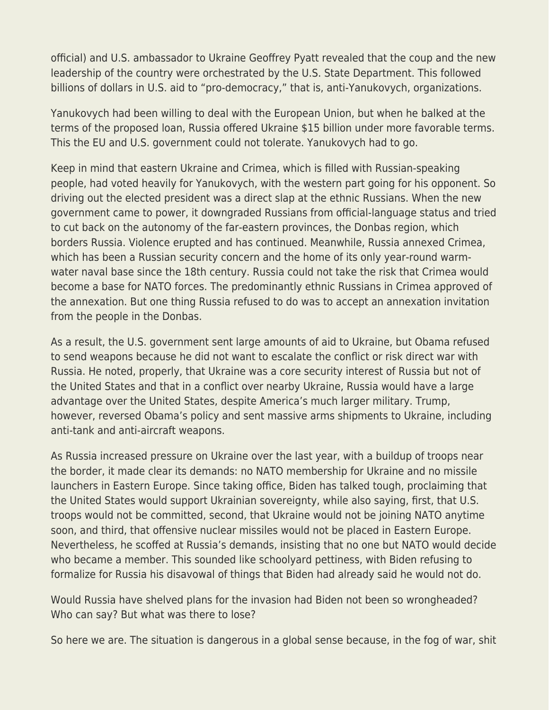official) and U.S. ambassador to Ukraine Geoffrey Pyatt revealed that the coup and the new leadership of the country were orchestrated by the U.S. State Department. This followed billions of dollars in U.S. aid to "pro-democracy," that is, anti-Yanukovych, organizations.

Yanukovych had been willing to deal with the European Union, but when he balked at the terms of the proposed loan, Russia offered Ukraine \$15 billion under more favorable terms. This the EU and U.S. government could not tolerate. Yanukovych had to go.

Keep in mind that eastern Ukraine and Crimea, which is filled with Russian-speaking people, had voted heavily for Yanukovych, with the western part going for his opponent. So driving out the elected president was a direct slap at the ethnic Russians. When the new government came to power, it downgraded Russians from official-language status and tried to cut back on the autonomy of the far-eastern provinces, the Donbas region, which borders Russia. Violence erupted and has continued. Meanwhile, Russia annexed Crimea, which has been a Russian security concern and the home of its only year-round warmwater naval base since the 18th century. Russia could not take the risk that Crimea would become a base for NATO forces. The predominantly ethnic Russians in Crimea approved of the annexation. But one thing Russia refused to do was to accept an annexation invitation from the people in the Donbas.

As a result, the U.S. government sent large amounts of aid to Ukraine, but Obama refused to send weapons because he did not want to escalate the conflict or risk direct war with Russia. He noted, properly, that Ukraine was a core security interest of Russia but not of the United States and that in a conflict over nearby Ukraine, Russia would have a large advantage over the United States, despite America's much larger military. Trump, however, reversed Obama's policy and sent massive arms shipments to Ukraine, including anti-tank and anti-aircraft weapons.

As Russia increased pressure on Ukraine over the last year, with a buildup of troops near the border, it made clear its demands: no NATO membership for Ukraine and no missile launchers in Eastern Europe. Since taking office, Biden has talked tough, proclaiming that the United States would support Ukrainian sovereignty, while also saying, first, that U.S. troops would not be committed, second, that Ukraine would not be joining NATO anytime soon, and third, that offensive nuclear missiles would not be placed in Eastern Europe. Nevertheless, he scoffed at Russia's demands, insisting that no one but NATO would decide who became a member. This sounded like schoolyard pettiness, with Biden refusing to formalize for Russia his disavowal of things that Biden had already said he would not do.

Would Russia have shelved plans for the invasion had Biden not been so wrongheaded? Who can say? But what was there to lose?

So here we are. The situation is dangerous in a global sense because, in the fog of war, shit